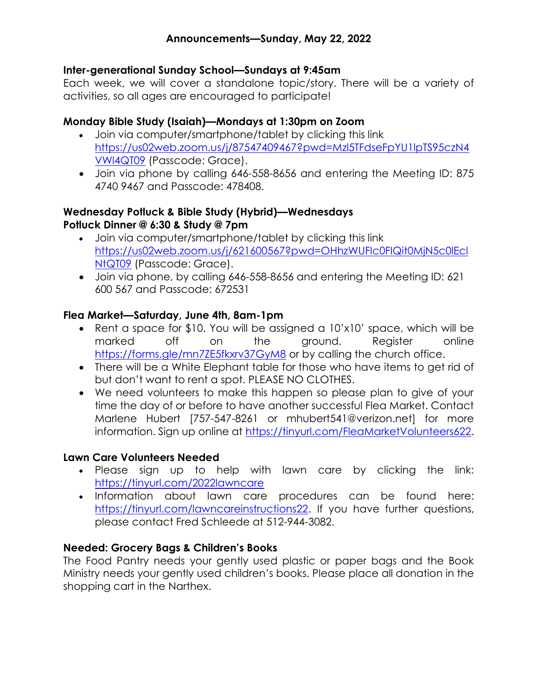### Inter-generational Sunday School—Sundays at 9:45am

Each week, we will cover a standalone topic/story. There will be a variety of activities, so all ages are encouraged to participate!

## Monday Bible Study (Isaiah)—Mondays at 1:30pm on Zoom

- Join via computer/smartphone/tablet by clicking this link https://us02web.zoom.us/j/87547409467?pwd=Mzl5TFdseFpYU1lpTS95czN4 VWl4QT09 (Passcode: Grace).
- Join via phone by calling 646-558-8656 and entering the Meeting ID: 875 4740 9467 and Passcode: 478408.

## Wednesday Potluck & Bible Study (Hybrid)—Wednesdays Potluck Dinner @ 6:30 & Study @ 7pm

- Join via computer/smartphone/tablet by clicking this link https://us02web.zoom.us/j/621600567?pwd=OHhzWUFIc0FIQit0MjN5c0lEcl NtQT09 (Passcode: Grace).
- Join via phone, by calling 646-558-8656 and entering the Meeting ID: 621 600 567 and Passcode: 672531

## Flea Market—Saturday, June 4th, 8am-1pm

- Rent a space for \$10. You will be assigned a 10'x10' space, which will be marked off on the ground. Register online https://forms.gle/mn7ZE5fkxrv37GyM8 or by calling the church office.
- There will be a White Elephant table for those who have items to get rid of but don't want to rent a spot. PLEASE NO CLOTHES.
- We need volunteers to make this happen so please plan to give of your time the day of or before to have another successful Flea Market. Contact Marlene Hubert [757-547-8261 or mhubert541@verizon.net] for more information. Sign up online at https://tinyurl.com/FleaMarketVolunteers622.

# Lawn Care Volunteers Needed

- Please sign up to help with lawn care by clicking the link: https://tinyurl.com/2022lawncare
- . Information about lawn care procedures can be found here: https://tinyurl.com/lawncareinstructions22. If you have further questions, please contact Fred Schleede at 512-944-3082.

# Needed: Grocery Bags & Children's Books

The Food Pantry needs your gently used plastic or paper bags and the Book Ministry needs your gently used children's books. Please place all donation in the shopping cart in the Narthex.